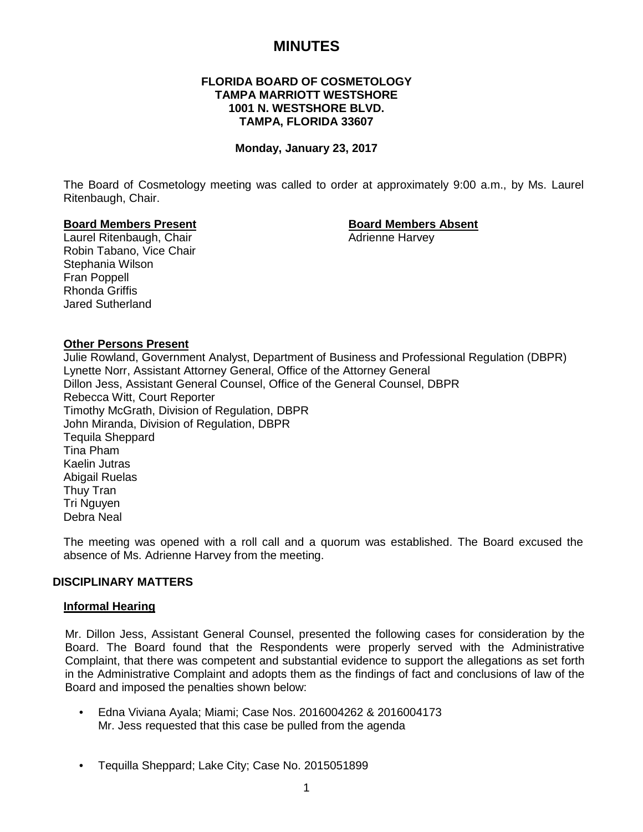## **MINUTES**

#### **FLORIDA BOARD OF COSMETOLOGY TAMPA MARRIOTT WESTSHORE 1001 N. WESTSHORE BLVD. TAMPA, FLORIDA 33607**

#### **Monday, January 23, 2017**

The Board of Cosmetology meeting was called to order at approximately 9:00 a.m., by Ms. Laurel Ritenbaugh, Chair.

**Board Members Present Board Members Absent** Laurel Ritenbaugh, Chair Robin Tabano, Vice Chair Stephania Wilson Fran Poppell Rhonda Griffis Jared Sutherland

#### **Other Persons Present**

Julie Rowland, Government Analyst, Department of Business and Professional Regulation (DBPR) Lynette Norr, Assistant Attorney General, Office of the Attorney General Dillon Jess, Assistant General Counsel, Office of the General Counsel, DBPR Rebecca Witt, Court Reporter Timothy McGrath, Division of Regulation, DBPR John Miranda, Division of Regulation, DBPR Tequila Sheppard Tina Pham Kaelin Jutras Abigail Ruelas Thuy Tran Tri Nguyen Debra Neal

The meeting was opened with a roll call and a quorum was established. The Board excused the absence of Ms. Adrienne Harvey from the meeting.

## **DISCIPLINARY MATTERS**

#### **Informal Hearing**

Mr. Dillon Jess, Assistant General Counsel, presented the following cases for consideration by the Board. The Board found that the Respondents were properly served with the Administrative Complaint, that there was competent and substantial evidence to support the allegations as set forth in the Administrative Complaint and adopts them as the findings of fact and conclusions of law of the Board and imposed the penalties shown below:

- Edna Viviana Ayala; Miami; Case Nos. 2016004262 & 2016004173 Mr. Jess requested that this case be pulled from the agenda
- Tequilla Sheppard; Lake City; Case No. 2015051899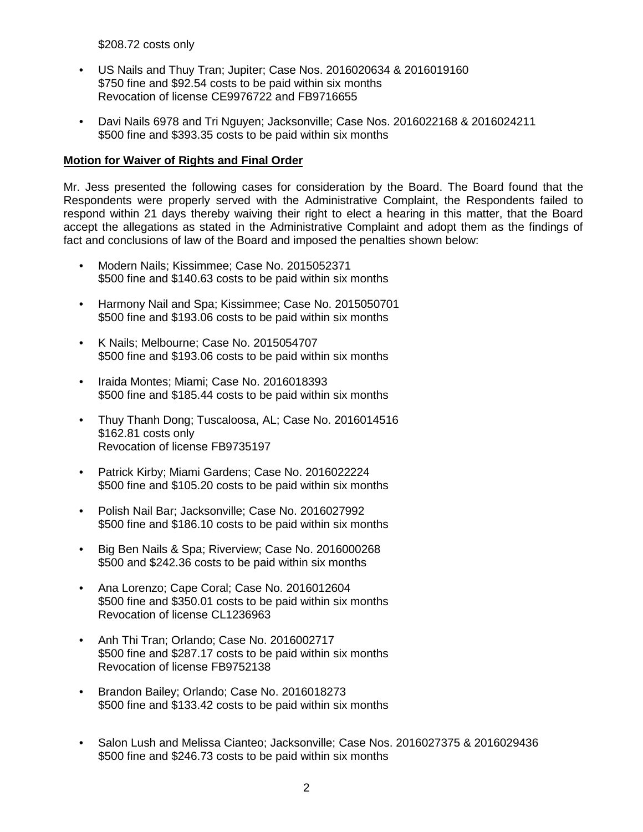\$208.72 costs only

- US Nails and Thuy Tran; Jupiter; Case Nos. 2016020634 & 2016019160 \$750 fine and \$92.54 costs to be paid within six months Revocation of license CE9976722 and FB9716655
- Davi Nails 6978 and Tri Nguyen; Jacksonville; Case Nos. 2016022168 & 2016024211 \$500 fine and \$393.35 costs to be paid within six months

#### **Motion for Waiver of Rights and Final Order**

Mr. Jess presented the following cases for consideration by the Board. The Board found that the Respondents were properly served with the Administrative Complaint, the Respondents failed to respond within 21 days thereby waiving their right to elect a hearing in this matter, that the Board accept the allegations as stated in the Administrative Complaint and adopt them as the findings of fact and conclusions of law of the Board and imposed the penalties shown below:

- Modern Nails; Kissimmee; Case No. 2015052371 \$500 fine and \$140.63 costs to be paid within six months
- Harmony Nail and Spa; Kissimmee; Case No. 2015050701 \$500 fine and \$193.06 costs to be paid within six months
- K Nails; Melbourne; Case No. 2015054707 \$500 fine and \$193.06 costs to be paid within six months
- Iraida Montes; Miami; Case No. 2016018393 \$500 fine and \$185.44 costs to be paid within six months
- Thuy Thanh Dong; Tuscaloosa, AL; Case No. 2016014516 \$162.81 costs only Revocation of license FB9735197
- Patrick Kirby; Miami Gardens; Case No. 2016022224 \$500 fine and \$105.20 costs to be paid within six months
- Polish Nail Bar; Jacksonville; Case No. 2016027992 \$500 fine and \$186.10 costs to be paid within six months
- Big Ben Nails & Spa; Riverview; Case No. 2016000268 \$500 and \$242.36 costs to be paid within six months
- Ana Lorenzo; Cape Coral; Case No. 2016012604 \$500 fine and \$350.01 costs to be paid within six months Revocation of license CL1236963
- Anh Thi Tran; Orlando; Case No. 2016002717 \$500 fine and \$287.17 costs to be paid within six months Revocation of license FB9752138
- Brandon Bailey; Orlando; Case No. 2016018273 \$500 fine and \$133.42 costs to be paid within six months
- Salon Lush and Melissa Cianteo; Jacksonville; Case Nos. 2016027375 & 2016029436 \$500 fine and \$246.73 costs to be paid within six months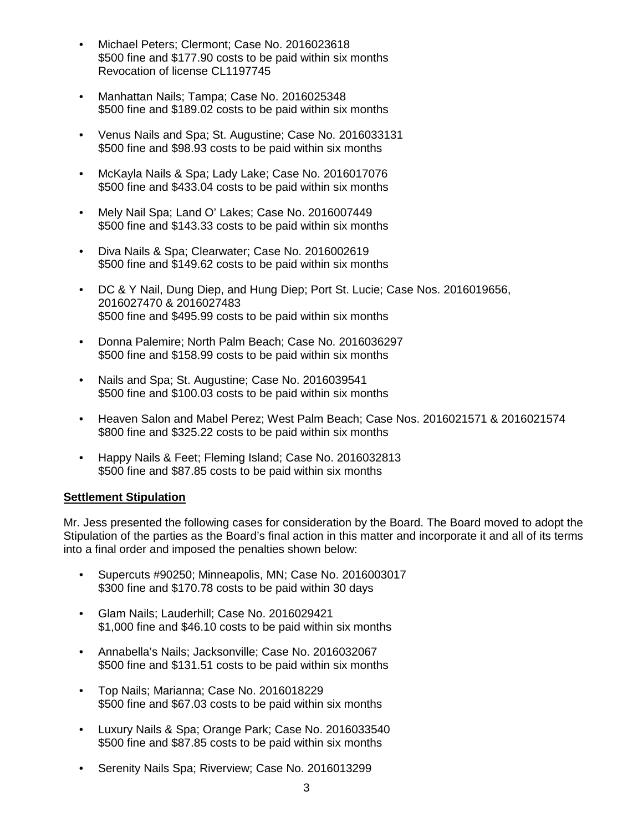- Michael Peters; Clermont; Case No. 2016023618 \$500 fine and \$177.90 costs to be paid within six months Revocation of license CL1197745
- Manhattan Nails; Tampa; Case No. 2016025348 \$500 fine and \$189.02 costs to be paid within six months
- Venus Nails and Spa; St. Augustine; Case No. 2016033131 \$500 fine and \$98.93 costs to be paid within six months
- McKayla Nails & Spa; Lady Lake; Case No. 2016017076 \$500 fine and \$433.04 costs to be paid within six months
- Mely Nail Spa; Land O' Lakes; Case No. 2016007449 \$500 fine and \$143.33 costs to be paid within six months
- Diva Nails & Spa; Clearwater; Case No. 2016002619 \$500 fine and \$149.62 costs to be paid within six months
- DC & Y Nail, Dung Diep, and Hung Diep; Port St. Lucie; Case Nos. 2016019656, 2016027470 & 2016027483 \$500 fine and \$495.99 costs to be paid within six months
- Donna Palemire; North Palm Beach; Case No. 2016036297 \$500 fine and \$158.99 costs to be paid within six months
- Nails and Spa; St. Augustine; Case No. 2016039541 \$500 fine and \$100.03 costs to be paid within six months
- Heaven Salon and Mabel Perez; West Palm Beach; Case Nos. 2016021571 & 2016021574 \$800 fine and \$325.22 costs to be paid within six months
- Happy Nails & Feet; Fleming Island; Case No. 2016032813 \$500 fine and \$87.85 costs to be paid within six months

## **Settlement Stipulation**

Mr. Jess presented the following cases for consideration by the Board. The Board moved to adopt the Stipulation of the parties as the Board's final action in this matter and incorporate it and all of its terms into a final order and imposed the penalties shown below:

- Supercuts #90250; Minneapolis, MN; Case No. 2016003017 \$300 fine and \$170.78 costs to be paid within 30 days
- Glam Nails; Lauderhill; Case No. 2016029421 \$1,000 fine and \$46.10 costs to be paid within six months
- Annabella's Nails; Jacksonville; Case No. 2016032067 \$500 fine and \$131.51 costs to be paid within six months
- Top Nails; Marianna; Case No. 2016018229 \$500 fine and \$67.03 costs to be paid within six months
- Luxury Nails & Spa; Orange Park; Case No. 2016033540 \$500 fine and \$87.85 costs to be paid within six months
- Serenity Nails Spa; Riverview; Case No. 2016013299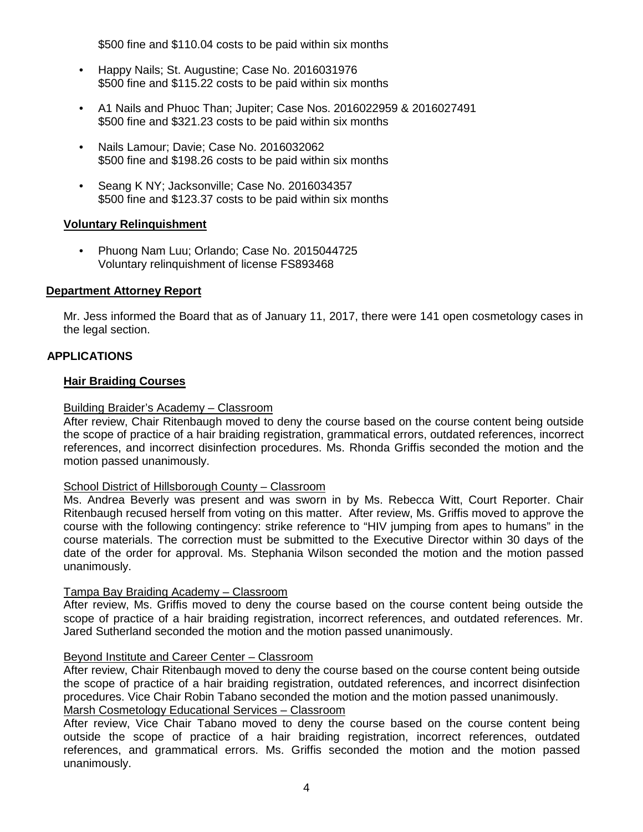\$500 fine and \$110.04 costs to be paid within six months

- Happy Nails; St. Augustine; Case No. 2016031976 \$500 fine and \$115.22 costs to be paid within six months
- A1 Nails and Phuoc Than; Jupiter; Case Nos. 2016022959 & 2016027491 \$500 fine and \$321.23 costs to be paid within six months
- Nails Lamour; Davie; Case No. 2016032062 \$500 fine and \$198.26 costs to be paid within six months
- Seang K NY; Jacksonville; Case No. 2016034357 \$500 fine and \$123.37 costs to be paid within six months

## **Voluntary Relinquishment**

• Phuong Nam Luu; Orlando; Case No. 2015044725 Voluntary relinquishment of license FS893468

## **Department Attorney Report**

Mr. Jess informed the Board that as of January 11, 2017, there were 141 open cosmetology cases in the legal section.

## **APPLICATIONS**

#### **Hair Braiding Courses**

#### Building Braider's Academy – Classroom

After review, Chair Ritenbaugh moved to deny the course based on the course content being outside the scope of practice of a hair braiding registration, grammatical errors, outdated references, incorrect references, and incorrect disinfection procedures. Ms. Rhonda Griffis seconded the motion and the motion passed unanimously.

#### School District of Hillsborough County – Classroom

Ms. Andrea Beverly was present and was sworn in by Ms. Rebecca Witt, Court Reporter. Chair Ritenbaugh recused herself from voting on this matter. After review, Ms. Griffis moved to approve the course with the following contingency: strike reference to "HIV jumping from apes to humans" in the course materials. The correction must be submitted to the Executive Director within 30 days of the date of the order for approval. Ms. Stephania Wilson seconded the motion and the motion passed unanimously.

#### Tampa Bay Braiding Academy – Classroom

After review, Ms. Griffis moved to deny the course based on the course content being outside the scope of practice of a hair braiding registration, incorrect references, and outdated references. Mr. Jared Sutherland seconded the motion and the motion passed unanimously.

#### Beyond Institute and Career Center – Classroom

After review, Chair Ritenbaugh moved to deny the course based on the course content being outside the scope of practice of a hair braiding registration, outdated references, and incorrect disinfection procedures. Vice Chair Robin Tabano seconded the motion and the motion passed unanimously. Marsh Cosmetology Educational Services – Classroom

After review, Vice Chair Tabano moved to deny the course based on the course content being outside the scope of practice of a hair braiding registration, incorrect references, outdated references, and grammatical errors. Ms. Griffis seconded the motion and the motion passed unanimously.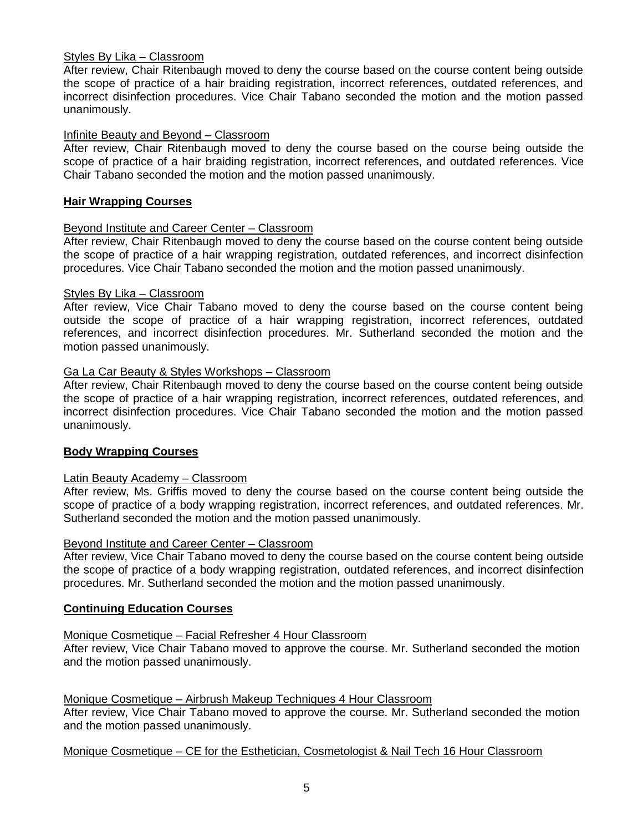#### Styles By Lika – Classroom

After review, Chair Ritenbaugh moved to deny the course based on the course content being outside the scope of practice of a hair braiding registration, incorrect references, outdated references, and incorrect disinfection procedures. Vice Chair Tabano seconded the motion and the motion passed unanimously.

#### Infinite Beauty and Beyond – Classroom

After review, Chair Ritenbaugh moved to deny the course based on the course being outside the scope of practice of a hair braiding registration, incorrect references, and outdated references. Vice Chair Tabano seconded the motion and the motion passed unanimously.

#### **Hair Wrapping Courses**

#### Beyond Institute and Career Center – Classroom

After review, Chair Ritenbaugh moved to deny the course based on the course content being outside the scope of practice of a hair wrapping registration, outdated references, and incorrect disinfection procedures. Vice Chair Tabano seconded the motion and the motion passed unanimously.

#### Styles By Lika – Classroom

After review, Vice Chair Tabano moved to deny the course based on the course content being outside the scope of practice of a hair wrapping registration, incorrect references, outdated references, and incorrect disinfection procedures. Mr. Sutherland seconded the motion and the motion passed unanimously.

#### Ga La Car Beauty & Styles Workshops – Classroom

After review, Chair Ritenbaugh moved to deny the course based on the course content being outside the scope of practice of a hair wrapping registration, incorrect references, outdated references, and incorrect disinfection procedures. Vice Chair Tabano seconded the motion and the motion passed unanimously.

#### **Body Wrapping Courses**

#### Latin Beauty Academy – Classroom

After review, Ms. Griffis moved to deny the course based on the course content being outside the scope of practice of a body wrapping registration, incorrect references, and outdated references. Mr. Sutherland seconded the motion and the motion passed unanimously.

#### Beyond Institute and Career Center – Classroom

After review, Vice Chair Tabano moved to deny the course based on the course content being outside the scope of practice of a body wrapping registration, outdated references, and incorrect disinfection procedures. Mr. Sutherland seconded the motion and the motion passed unanimously.

#### **Continuing Education Courses**

#### Monique Cosmetique – Facial Refresher 4 Hour Classroom

After review, Vice Chair Tabano moved to approve the course. Mr. Sutherland seconded the motion and the motion passed unanimously.

#### Monique Cosmetique – Airbrush Makeup Techniques 4 Hour Classroom

After review, Vice Chair Tabano moved to approve the course. Mr. Sutherland seconded the motion and the motion passed unanimously.

#### Monique Cosmetique – CE for the Esthetician, Cosmetologist & Nail Tech 16 Hour Classroom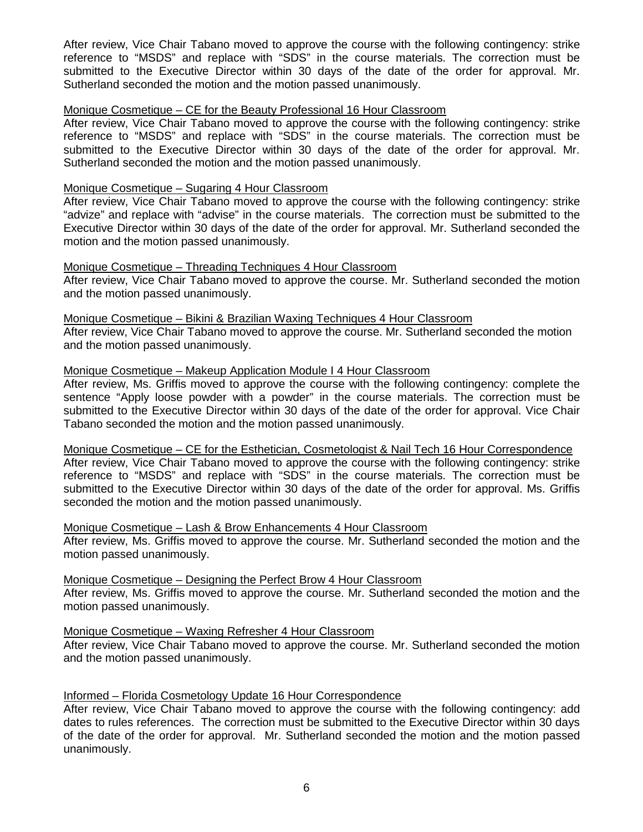After review, Vice Chair Tabano moved to approve the course with the following contingency: strike reference to "MSDS" and replace with "SDS" in the course materials. The correction must be submitted to the Executive Director within 30 days of the date of the order for approval. Mr. Sutherland seconded the motion and the motion passed unanimously.

#### Monique Cosmetique – CE for the Beauty Professional 16 Hour Classroom

After review, Vice Chair Tabano moved to approve the course with the following contingency: strike reference to "MSDS" and replace with "SDS" in the course materials. The correction must be submitted to the Executive Director within 30 days of the date of the order for approval. Mr. Sutherland seconded the motion and the motion passed unanimously.

#### Monique Cosmetique – Sugaring 4 Hour Classroom

After review, Vice Chair Tabano moved to approve the course with the following contingency: strike "advize" and replace with "advise" in the course materials. The correction must be submitted to the Executive Director within 30 days of the date of the order for approval. Mr. Sutherland seconded the motion and the motion passed unanimously.

#### Monique Cosmetique – Threading Techniques 4 Hour Classroom

After review, Vice Chair Tabano moved to approve the course. Mr. Sutherland seconded the motion and the motion passed unanimously.

#### Monique Cosmetique – Bikini & Brazilian Waxing Techniques 4 Hour Classroom

After review, Vice Chair Tabano moved to approve the course. Mr. Sutherland seconded the motion and the motion passed unanimously.

#### Monique Cosmetique – Makeup Application Module I 4 Hour Classroom

After review, Ms. Griffis moved to approve the course with the following contingency: complete the sentence "Apply loose powder with a powder" in the course materials. The correction must be submitted to the Executive Director within 30 days of the date of the order for approval. Vice Chair Tabano seconded the motion and the motion passed unanimously.

#### Monique Cosmetique – CE for the Esthetician, Cosmetologist & Nail Tech 16 Hour Correspondence

After review, Vice Chair Tabano moved to approve the course with the following contingency: strike reference to "MSDS" and replace with "SDS" in the course materials. The correction must be submitted to the Executive Director within 30 days of the date of the order for approval. Ms. Griffis seconded the motion and the motion passed unanimously.

#### Monique Cosmetique – Lash & Brow Enhancements 4 Hour Classroom

After review, Ms. Griffis moved to approve the course. Mr. Sutherland seconded the motion and the motion passed unanimously.

#### Monique Cosmetique – Designing the Perfect Brow 4 Hour Classroom

After review, Ms. Griffis moved to approve the course. Mr. Sutherland seconded the motion and the motion passed unanimously.

#### Monique Cosmetique – Waxing Refresher 4 Hour Classroom

After review, Vice Chair Tabano moved to approve the course. Mr. Sutherland seconded the motion and the motion passed unanimously.

#### Informed – Florida Cosmetology Update 16 Hour Correspondence

After review, Vice Chair Tabano moved to approve the course with the following contingency: add dates to rules references. The correction must be submitted to the Executive Director within 30 days of the date of the order for approval. Mr. Sutherland seconded the motion and the motion passed unanimously.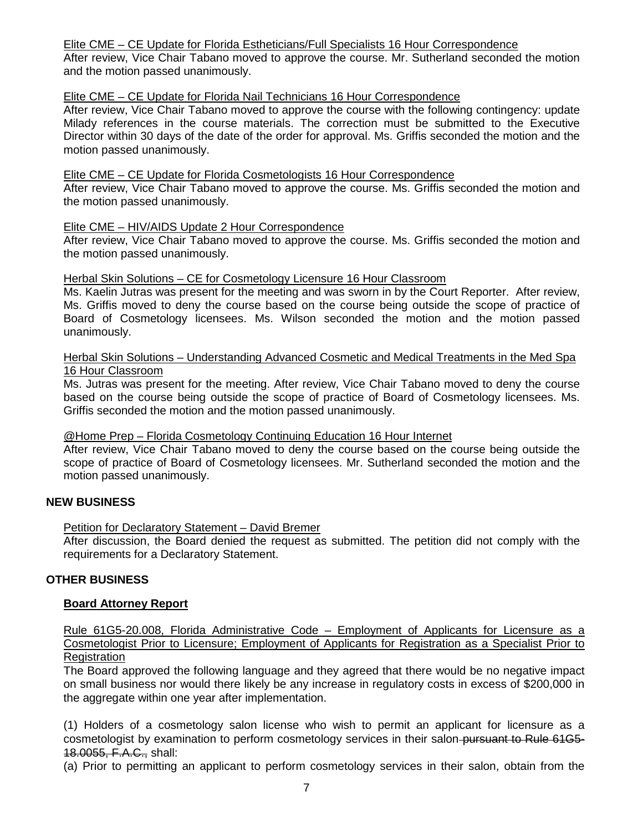#### Elite CME – CE Update for Florida Estheticians/Full Specialists 16 Hour Correspondence

After review, Vice Chair Tabano moved to approve the course. Mr. Sutherland seconded the motion and the motion passed unanimously.

#### Elite CME – CE Update for Florida Nail Technicians 16 Hour Correspondence

After review, Vice Chair Tabano moved to approve the course with the following contingency: update Milady references in the course materials. The correction must be submitted to the Executive Director within 30 days of the date of the order for approval. Ms. Griffis seconded the motion and the motion passed unanimously.

#### Elite CME – CE Update for Florida Cosmetologists 16 Hour Correspondence

After review, Vice Chair Tabano moved to approve the course. Ms. Griffis seconded the motion and the motion passed unanimously.

#### Elite CME – HIV/AIDS Update 2 Hour Correspondence

After review, Vice Chair Tabano moved to approve the course. Ms. Griffis seconded the motion and the motion passed unanimously.

#### Herbal Skin Solutions – CE for Cosmetology Licensure 16 Hour Classroom

Ms. Kaelin Jutras was present for the meeting and was sworn in by the Court Reporter. After review, Ms. Griffis moved to deny the course based on the course being outside the scope of practice of Board of Cosmetology licensees. Ms. Wilson seconded the motion and the motion passed unanimously.

#### Herbal Skin Solutions – Understanding Advanced Cosmetic and Medical Treatments in the Med Spa 16 Hour Classroom

Ms. Jutras was present for the meeting. After review, Vice Chair Tabano moved to deny the course based on the course being outside the scope of practice of Board of Cosmetology licensees. Ms. Griffis seconded the motion and the motion passed unanimously.

## @Home Prep – Florida Cosmetology Continuing Education 16 Hour Internet

After review, Vice Chair Tabano moved to deny the course based on the course being outside the scope of practice of Board of Cosmetology licensees. Mr. Sutherland seconded the motion and the motion passed unanimously.

## **NEW BUSINESS**

## Petition for Declaratory Statement – David Bremer

After discussion, the Board denied the request as submitted. The petition did not comply with the requirements for a Declaratory Statement.

## **OTHER BUSINESS**

#### **Board Attorney Report**

Rule 61G5-20.008, Florida Administrative Code – Employment of Applicants for Licensure as a Cosmetologist Prior to Licensure; Employment of Applicants for Registration as a Specialist Prior to **Registration** 

The Board approved the following language and they agreed that there would be no negative impact on small business nor would there likely be any increase in regulatory costs in excess of \$200,000 in the aggregate within one year after implementation.

(1) Holders of a cosmetology salon license who wish to permit an applicant for licensure as a cosmetologist by examination to perform cosmetology services in their salon-pursuant to Rule 61G5-18.0055, F.A.C., shall:

(a) Prior to permitting an applicant to perform cosmetology services in their salon, obtain from the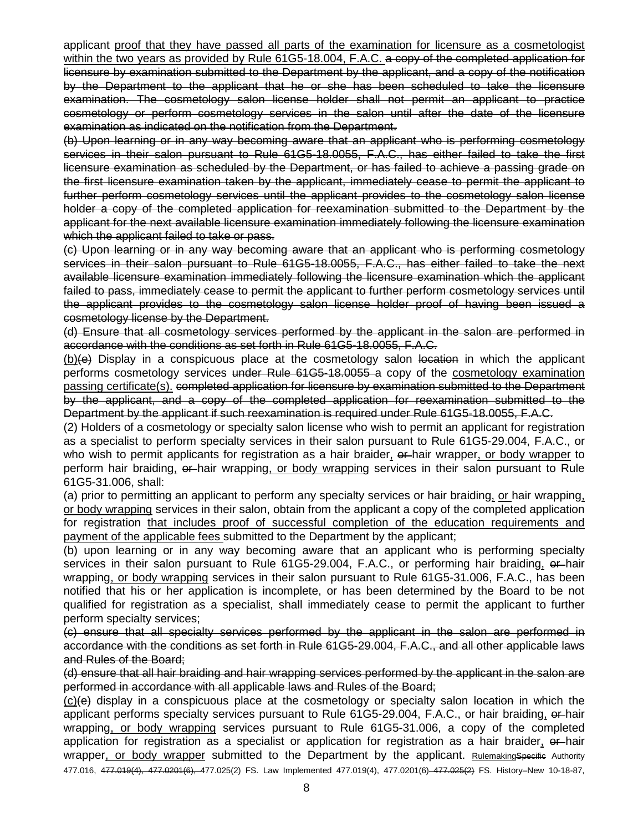applicant proof that they have passed all parts of the examination for licensure as a cosmetologist within the two years as provided by Rule 61G5-18.004, F.A.C. a copy of the completed application for licensure by examination submitted to the Department by the applicant, and a copy of the notification by the Department to the applicant that he or she has been scheduled to take the licensure examination. The cosmetology salon license holder shall not permit an applicant to practice cosmetology or perform cosmetology services in the salon until after the date of the licensure examination as indicated on the notification from the Department.

(b) Upon learning or in any way becoming aware that an applicant who is performing cosmetology services in their salon pursuant to Rule 61G5-18.0055, F.A.C., has either failed to take the first licensure examination as scheduled by the Department, or has failed to achieve a passing grade on the first licensure examination taken by the applicant, immediately cease to permit the applicant to further perform cosmetology services until the applicant provides to the cosmetology salon license holder a copy of the completed application for reexamination submitted to the Department by the applicant for the next available licensure examination immediately following the licensure examination which the applicant failed to take or pass.

(c) Upon learning or in any way becoming aware that an applicant who is performing cosmetology services in their salon pursuant to Rule 61G5-18.0055, F.A.C., has either failed to take the next available licensure examination immediately following the licensure examination which the applicant failed to pass, immediately cease to permit the applicant to further perform cosmetology services until the applicant provides to the cosmetology salon license holder proof of having been issued a cosmetology license by the Department.

(d) Ensure that all cosmetology services performed by the applicant in the salon are performed in accordance with the conditions as set forth in Rule 61G5-18.0055, F.A.C.

 $(b)(e)$  Display in a conspicuous place at the cosmetology salon location in which the applicant performs cosmetology services under Rule 61G5-18.0055 a copy of the cosmetology examination passing certificate(s). completed application for licensure by examination submitted to the Department by the applicant, and a copy of the completed application for reexamination submitted to the Department by the applicant if such reexamination is required under Rule 61G5-18.0055, F.A.C.

(2) Holders of a cosmetology or specialty salon license who wish to permit an applicant for registration as a specialist to perform specialty services in their salon pursuant to Rule 61G5-29.004, F.A.C., or who wish to permit applicants for registration as a hair braider,  $\theta$ -hair wrapper, or body wrapper to perform hair braiding, or hair wrapping, or body wrapping services in their salon pursuant to Rule 61G5-31.006, shall:

(a) prior to permitting an applicant to perform any specialty services or hair braiding, or hair wrapping, or body wrapping services in their salon, obtain from the applicant a copy of the completed application for registration that includes proof of successful completion of the education requirements and payment of the applicable fees submitted to the Department by the applicant;

(b) upon learning or in any way becoming aware that an applicant who is performing specialty services in their salon pursuant to Rule 61G5-29.004, F.A.C., or performing hair braiding, or hair wrapping, or body wrapping services in their salon pursuant to Rule 61G5-31.006, F.A.C., has been notified that his or her application is incomplete, or has been determined by the Board to be not qualified for registration as a specialist, shall immediately cease to permit the applicant to further perform specialty services;

(c) ensure that all specialty services performed by the applicant in the salon are performed in accordance with the conditions as set forth in Rule 61G5-29.004, F.A.C., and all other applicable laws and Rules of the Board;

(d) ensure that all hair braiding and hair wrapping services performed by the applicant in the salon are performed in accordance with all applicable laws and Rules of the Board;

 $(c)$ (e) display in a conspicuous place at the cosmetology or specialty salon location in which the applicant performs specialty services pursuant to Rule 61G5-29.004, F.A.C., or hair braiding, or hair wrapping, or body wrapping services pursuant to Rule 61G5-31.006, a copy of the completed application for registration as a specialist or application for registration as a hair braider, or hair wrapper, or body wrapper submitted to the Department by the applicant. RulemakingSpecific Authority 477.016, 477.019(4), 477.0201(6), 477.025(2) FS. Law Implemented 477.019(4), 477.0201(6) 477.025(2) FS. History–New 10-18-87,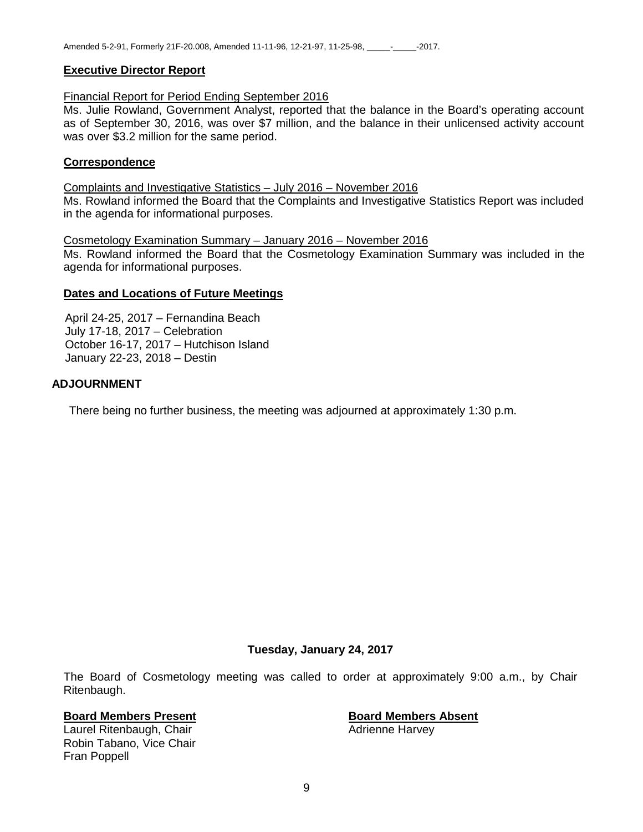#### **Executive Director Report**

#### Financial Report for Period Ending September 2016

Ms. Julie Rowland, Government Analyst, reported that the balance in the Board's operating account as of September 30, 2016, was over \$7 million, and the balance in their unlicensed activity account was over \$3.2 million for the same period.

#### **Correspondence**

Complaints and Investigative Statistics – July 2016 – November 2016 Ms. Rowland informed the Board that the Complaints and Investigative Statistics Report was included in the agenda for informational purposes.

Cosmetology Examination Summary – January 2016 – November 2016

Ms. Rowland informed the Board that the Cosmetology Examination Summary was included in the agenda for informational purposes.

#### **Dates and Locations of Future Meetings**

April 24-25, 2017 – Fernandina Beach July 17-18, 2017 – Celebration October 16-17, 2017 – Hutchison Island January 22-23, 2018 – Destin

#### **ADJOURNMENT**

There being no further business, the meeting was adjourned at approximately 1:30 p.m.

#### **Tuesday, January 24, 2017**

The Board of Cosmetology meeting was called to order at approximately 9:00 a.m., by Chair Ritenbaugh.

# **Board Members Present**<br> **Board Members Absent**<br> **Board Members Absent**<br> **Adrienne Harvey**

Laurel Ritenbaugh, Chair Robin Tabano, Vice Chair Fran Poppell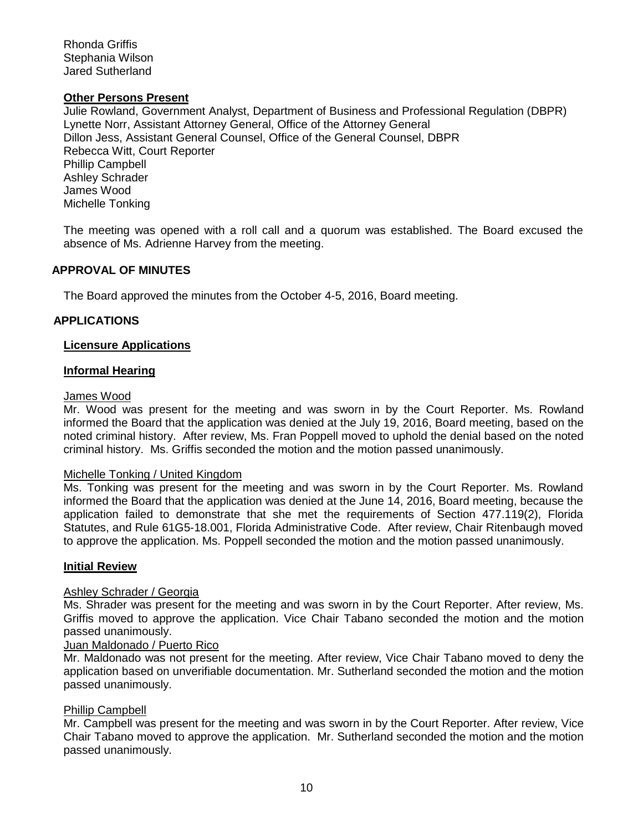Rhonda Griffis Stephania Wilson Jared Sutherland

#### **Other Persons Present**

Julie Rowland, Government Analyst, Department of Business and Professional Regulation (DBPR) Lynette Norr, Assistant Attorney General, Office of the Attorney General Dillon Jess, Assistant General Counsel, Office of the General Counsel, DBPR Rebecca Witt, Court Reporter Phillip Campbell Ashley Schrader James Wood Michelle Tonking

The meeting was opened with a roll call and a quorum was established. The Board excused the absence of Ms. Adrienne Harvey from the meeting.

#### **APPROVAL OF MINUTES**

The Board approved the minutes from the October 4-5, 2016, Board meeting.

#### **APPLICATIONS**

#### **Licensure Applications**

#### **Informal Hearing**

#### James Wood

Mr. Wood was present for the meeting and was sworn in by the Court Reporter. Ms. Rowland informed the Board that the application was denied at the July 19, 2016, Board meeting, based on the noted criminal history. After review, Ms. Fran Poppell moved to uphold the denial based on the noted criminal history. Ms. Griffis seconded the motion and the motion passed unanimously.

#### Michelle Tonking / United Kingdom

Ms. Tonking was present for the meeting and was sworn in by the Court Reporter. Ms. Rowland informed the Board that the application was denied at the June 14, 2016, Board meeting, because the application failed to demonstrate that she met the requirements of Section 477.119(2), Florida Statutes, and Rule 61G5-18.001, Florida Administrative Code. After review, Chair Ritenbaugh moved to approve the application. Ms. Poppell seconded the motion and the motion passed unanimously.

#### **Initial Review**

#### Ashley Schrader / Georgia

Ms. Shrader was present for the meeting and was sworn in by the Court Reporter. After review, Ms. Griffis moved to approve the application. Vice Chair Tabano seconded the motion and the motion passed unanimously.

#### Juan Maldonado / Puerto Rico

Mr. Maldonado was not present for the meeting. After review, Vice Chair Tabano moved to deny the application based on unverifiable documentation. Mr. Sutherland seconded the motion and the motion passed unanimously.

#### Phillip Campbell

Mr. Campbell was present for the meeting and was sworn in by the Court Reporter. After review, Vice Chair Tabano moved to approve the application. Mr. Sutherland seconded the motion and the motion passed unanimously.